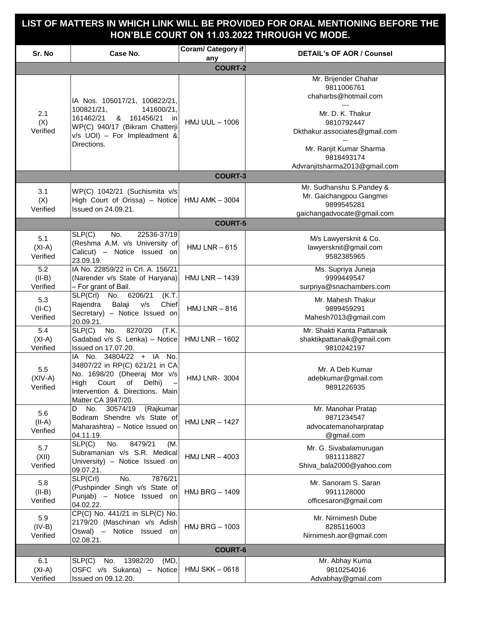## **LIST OF MATTERS IN WHICH LINK WILL BE PROVIDED FOR ORAL MENTIONING BEFORE THE HON'BLE COURT ON 11.03.2022 THROUGH VC MODE.**

| Sr. No                       | Case No.                                                                                                                                                                             | Coram/ Category if<br>any | <b>DETAIL's OF AOR / Counsel</b>                                                                                                                                                                        |  |  |
|------------------------------|--------------------------------------------------------------------------------------------------------------------------------------------------------------------------------------|---------------------------|---------------------------------------------------------------------------------------------------------------------------------------------------------------------------------------------------------|--|--|
| <b>COURT-2</b>               |                                                                                                                                                                                      |                           |                                                                                                                                                                                                         |  |  |
| 2.1<br>(X)<br>Verified       | IA Nos. 105017/21, 100822/21,<br>100821/21,<br>141600/21,<br>161462/21<br>& 161456/21<br>in<br>WP(C) 940/17 (Bikram Chatterji<br>$v/s$ UOI) - For Impleadment &<br>Directions.       | <b>HMJ UUL - 1006</b>     | Mr. Brijender Chahar<br>9811006761<br>chaharbs@hotmail.com<br>Mr. D. K. Thakur<br>9810792447<br>Dkthakur.associates@gmail.com<br>Mr. Ranjit Kumar Sharma<br>9818493174<br>Advranjitsharma2013@gmail.com |  |  |
| <b>COURT-3</b>               |                                                                                                                                                                                      |                           |                                                                                                                                                                                                         |  |  |
| 3.1<br>(X)<br>Verified       | WP(C) 1042/21 (Suchismita v/s<br>High Court of Orissa) - Notice<br>Issued on 24.09.21.                                                                                               | <b>HMJ AMK - 3004</b>     | Mr. Sudhanshu S.Pandey &<br>Mr. Gaichangpou Gangmei<br>9899545281<br>gaichangadvocate@gmail.com                                                                                                         |  |  |
| <b>COURT-5</b>               |                                                                                                                                                                                      |                           |                                                                                                                                                                                                         |  |  |
| 5.1<br>$(XI-A)$<br>Verified  | No.<br>SLP(C)<br>22536-37/19<br>(Reshma A.M. v/s University of<br>Calicut) - Notice Issued on<br>23.09.19.                                                                           | HMJ LNR $-615$            | M/s Lawyersknit & Co.<br>lawyersknit@gmail.com<br>9582385965                                                                                                                                            |  |  |
| 5.2<br>$(II-B)$<br>Verified  | IA No. 22859/22 in Crl. A. 156/21<br>(Narender v/s State of Haryana)<br>- For grant of Bail.                                                                                         | <b>HMJ LNR - 1439</b>     | Ms. Supriya Juneja<br>9999449547<br>surpriya@snachambers.com                                                                                                                                            |  |  |
| 5.3<br>$(II-C)$<br>Verified  | SLP(Crl) No. 6206/21<br>(K.T.<br>Rajendra<br>Balaji<br>v/s<br>Chief<br>Secretary) - Notice Issued on<br>20.09.21.                                                                    | HMJ $LNR - 816$           | Mr. Mahesh Thakur<br>9899459291<br>Mahesh7013@gmail.com                                                                                                                                                 |  |  |
| 5.4<br>$(XI-A)$<br>Verified  | SLP(C)<br>8270/20<br>No.<br>(T.K.<br>Gadabad v/s S. Lenka) - Notice<br>Issued on 17.07.20.                                                                                           | HMJ LNR $-$ 1602          | Mr. Shakti Kanta Pattanaik<br>shaktikpattanaik@gmail.com<br>9810242197                                                                                                                                  |  |  |
| 5.5<br>$(XIV-A)$<br>Verified | IA No. 34804/22 + IA No.<br>34807/22 in RP(C) 621/21 in CA<br>No. 1698/20 (Dheeraj Mor v/s<br>High<br>Court<br>Delhi)<br>of<br>Intervention & Directions. Main<br>Matter CA 3947/20. | <b>HMJ LNR- 3004</b>      | Mr. A Deb Kumar<br>adebkumar@gmail.com<br>9891226935                                                                                                                                                    |  |  |
| 5.6<br>$(II-A)$<br>Verified  | 30574/19 (Rajkumar<br>No.<br>D<br>Bodiram Shendre v/s State of<br>Maharashtra) - Notice Issued on<br>04.11.19.                                                                       | <b>HMJ LNR - 1427</b>     | Mr. Manohar Pratap<br>9871234547<br>advocatemanoharpratap<br>@gmail.com                                                                                                                                 |  |  |
| 5.7<br>(XII)<br>Verified     | SLP(C)<br>No.<br>8479/21<br>(M.<br>Subramanian v/s S.R. Medical<br>University) - Notice Issued on<br>09.07.21.                                                                       | <b>HMJ LNR - 4003</b>     | Mr. G. Sivabalamurugan<br>9811118827<br>Shiva_bala2000@yahoo.com                                                                                                                                        |  |  |
| 5.8<br>$(II-B)$<br>Verified  | SLP(Crl)<br>No.<br>7876/21<br>(Pushpinder Singh v/s State of<br>Punjab) - Notice Issued on<br>04.02.22.                                                                              | <b>HMJ BRG - 1409</b>     | Mr. Sanoram S. Saran<br>9911128000<br>officesaron@gmail.com                                                                                                                                             |  |  |
| 5.9<br>$(IV-B)$<br>Verified  | CP(C) No. 441/21 in SLP(C) No.<br>2179/20 (Maschinan v/s Adish<br>Oswal) - Notice Issued on<br>02.08.21.                                                                             | <b>HMJ BRG - 1003</b>     | Mr. Nirnimesh Dube<br>8285116003<br>Nirnimesh.aor@gmail.com                                                                                                                                             |  |  |
| <b>COURT-6</b>               |                                                                                                                                                                                      |                           |                                                                                                                                                                                                         |  |  |
| 6.1<br>$(XI-A)$<br>Verified  | No. 13982/20<br>SLP(C)<br>(MD,<br>OSFC v/s Sukanta) - Notice<br>Issued on 09.12.20.                                                                                                  | <b>HMJ SKK - 0618</b>     | Mr. Abhay Kuma<br>9810254016<br>Advabhay@gmail.com                                                                                                                                                      |  |  |